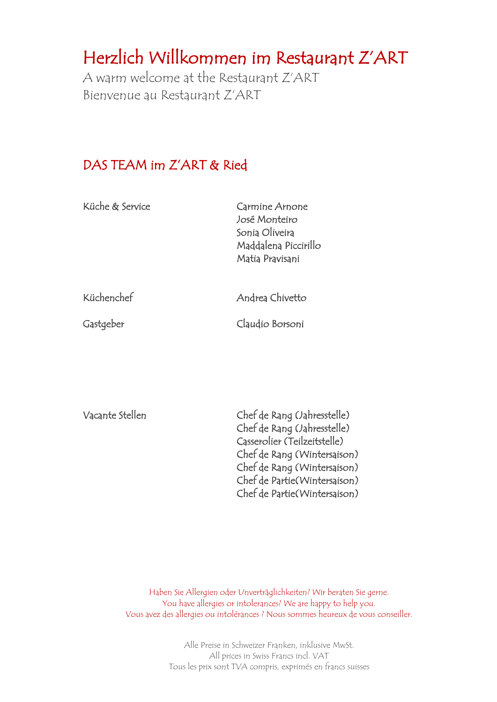# Herzlich Willkommen im Restaurant Z'ART

A warm welcome at the Restaurant Z'ART Bienvenue au Restaurant Z'ART

#### DAS TEAM im Z'ART & Ried

| Küche & Service | Carmine Arnone<br>José Monteiro<br>Sonia Oliveira<br>Maddalena Piccirillo<br>Matia Pravisani |  |
|-----------------|----------------------------------------------------------------------------------------------|--|
| Küchenchef      | Andrea Chivetto                                                                              |  |
| Gastgeber       | Claudio Borsoni                                                                              |  |

| Vacante Stellen | Chef de Rang (Jahresstelle)  |
|-----------------|------------------------------|
|                 | Chef de Rang (Jahresstelle)  |
|                 | Casserolier (Teilzeitstelle) |
|                 | Chef de Rang (Wintersaison)  |
|                 | Chef de Rang (Wintersaison)  |
|                 | Chef de Partie(Wintersaison) |
|                 | Chef de Partie(Wintersaison) |

Haben Sie Allergien oder Unverträglichkeiten? Wir beraten Sie gerne. You have allergies or intolerances? We are happy to help you. Vous avez des allergies ou intolérances ? Nous sommes heureux de vous conseiller.

> Alle Preise in Schweizer Franken, inklusive MwSt. All prices in Swiss Francs incl. VAT Tous les prix sont TVA compris, exprimés en francs suisses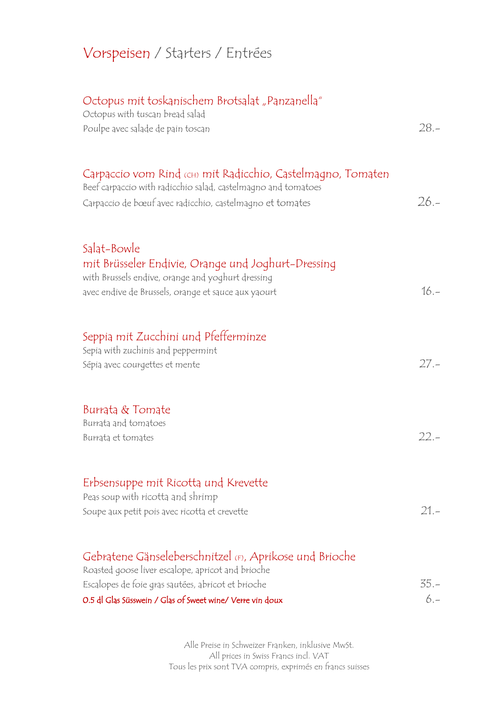# Vorspeisen / Starters / Entrées

| "Octopus mit toskanischem Brotsalat "Panzanella<br>Octopus with tuscan bread salad                                                                                                        |        |
|-------------------------------------------------------------------------------------------------------------------------------------------------------------------------------------------|--------|
| Poulpe avec salade de pain toscan                                                                                                                                                         | $28 -$ |
| Carpaccio vom Rind ‹cɨi› mit Radicchio, Castelmagno, Tomaten<br>Beef carpaccio with radicchio salad, castelmagno and tomatoes<br>Carpaccio de bœuf avec radicchio, castelmagno et tomates | $26 -$ |
| Salat-Bowle<br>mit Brüsseler Endivie, Orange und Joghurt-Dressing<br>with Brussels endive, orange and yoghurt dressing<br>avec endive de Brussels, orange et sauce aux yaourt             | $16 -$ |
| Seppia mit Zucchini und Pfefferminze<br>Sepia with zuchinis and peppermint<br>Sépia avec courgettes et mente                                                                              | $27 -$ |
| Burrata & Tomate<br>Burrata and tomatoes<br>Burrata et tomates                                                                                                                            | $22 -$ |
| Erbsensuppe mit Ricotta und Krevette<br>Peas soup with ricotta and shrimp<br>Soupe aux petit pois avec ricotta et crevette                                                                | $21 -$ |
| Gebratene Gänseleberschnitzel (F), Aprikose und Brioche<br>Roasted goose liver escalope, apricot and brioche                                                                              |        |
| Escalopes de foie gras sautées, abricot et brioche                                                                                                                                        | $35 -$ |
| 0.5 dl Glas Süsswein / Glas of Sweet wine/ Verre vin doux                                                                                                                                 | $6 -$  |

Alle Preise in Schweizer Franken, inklusive MwSt. All prices in Swiss Francs incl. VAT Tous les prix sont TVA compris, exprimés en francs suisses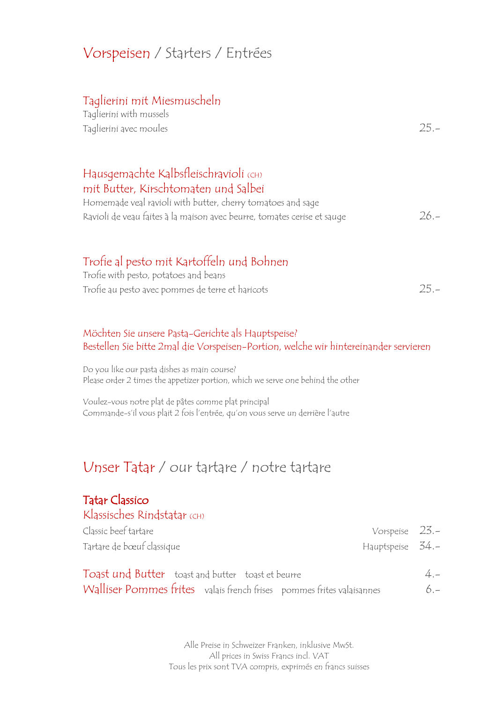### Vorspeisen / Starters / Entrées

#### Taglierini mit Miesmuscheln

| Taglierini with mussels |  |
|-------------------------|--|
| Taglierini avec moules  |  |

#### Hausgemachte Kalbsfleischravioli (CH) mit Butter, Kirschtomaten und Salbei

| Homemade veal ravioli with butter, cherry tomatoes and sage             |         |
|-------------------------------------------------------------------------|---------|
| Ravioli de veau faites à la maison avec beurre, tomates cerise et sauge | $26. -$ |

#### Trofie al pesto mit Kartoffeln und Bohnen

| Trofie with pesto, potatoes and beans            |        |
|--------------------------------------------------|--------|
| Trofie au pesto avec pommes de terre et haricots | $25 -$ |

#### Möchten Sie unsere Pasta-Gerichte als Hauptspeise? Bestellen Sie bitte 2mal die Vorspeisen-Portion, welche wir hintereinander servieren

Do you like our pasta dishes as main course? Please order 2 times the appetizer portion, which we serve one behind the other

Voulez-vous notre plat de pâtes comme plat principal Commande-s'il vous plait 2 fois l'entrée, qu'on vous serve un derrière l'autre

#### Unser Tatar / our tartare / notre tartare

#### Tatar Classico

| Klassisches Rindstatar (CH)                                                                                                |                |
|----------------------------------------------------------------------------------------------------------------------------|----------------|
| Classic beef tartare<br>Vorspeise $23.-$                                                                                   |                |
| Tartare de bœuf classique<br>Hauptspeise 34.-                                                                              |                |
| Toast und Butter toast and butter toast et beurre<br>Walliser Pommes frites valais french frises pommes frites valaisannes | $4 -$<br>$6 -$ |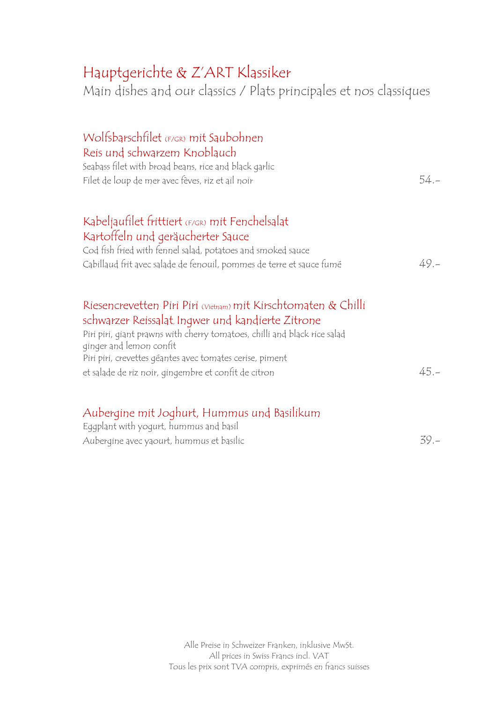# Hauptgerichte & Z'ART Klassiker

Main dishes and our classics / Plats principales et nos classiques

| Wolfsbarschfilet (F/GR) mit Saubohnen                                                                |         |
|------------------------------------------------------------------------------------------------------|---------|
| Reis und schwarzem Knoblauch                                                                         |         |
| Seabass filet with broad beans, rice and black garlic                                                |         |
| Filet de loup de mer avec fèves, riz et ail noir                                                     | $54. -$ |
| Kabeljaufilet frittiert (F/GR) mit Fenchelsalat                                                      |         |
| Kartoffeln und geräucherter Sauce                                                                    |         |
| Cod fish fried with fennel salad, potatoes and smoked sauce                                          |         |
| Cabillaud frit avec salade de fenouil, pommes de terre et sauce fumé                                 | 49. –   |
| Riesencrevetten Piri Piri (Vietnam) mit Kirschtomaten & Chilli                                       |         |
| schwarzer Reissalat, Ingwer und kandierte Zitrone                                                    |         |
| Piri piri, giant prawns with cherry tomatoes, chilli and black rice salad<br>ginger and lemon confit |         |
| Piri piri, crevettes géantes avec tomates cerise, piment                                             |         |
| et salade de riz noir, gingembre et confit de citron                                                 | $45 -$  |
| Alexandri alexandri India                                                                            |         |

#### Aubergine mit Joghurt, Hummus und Basilikum Eggplant with yogurt, hummus and basil

| Aubergine avec yaourt, hummus et basilic | $39 -$ |
|------------------------------------------|--------|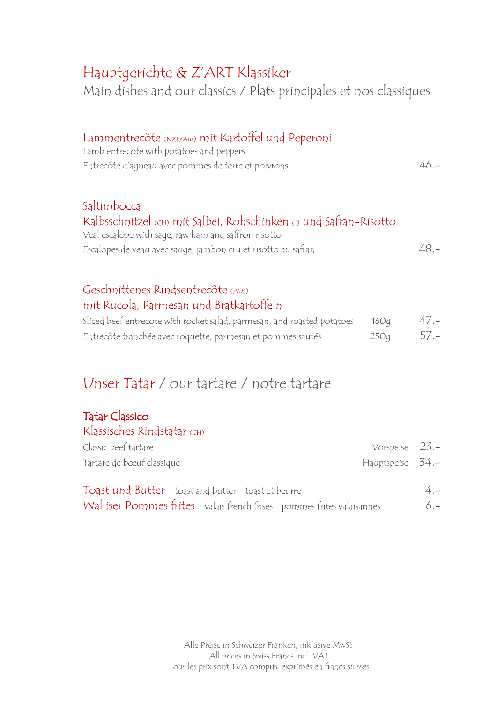### Hauptgerichte & Z'ART Klassiker

Main dishes and our classics / Plats principales et nos classiques

| Lammentrecote (NZL/Aus) mit Kartoffel und Peperoni<br>Lamb entrecote with potatoes and peppers<br>Entrecôte d'agneau avec pommes de terre et poivrons                                                      | $46 -$ |
|------------------------------------------------------------------------------------------------------------------------------------------------------------------------------------------------------------|--------|
| Saltimbocca<br>Kalbsschnitzel (CH) mit Salbei, Rohschinken (1) und Safran-Risotto<br>Veal escalope with sage, raw ham and saffron risotto<br>Escalopes de veau avec sauge, jambon cru et risotto au safran | $48 -$ |
| Geschnittenes Rindsentrecôte (AUS)<br>mit Rucola, Parmesan und Bratkartoffeln                                                                                                                              |        |

| Sliced beef entrecote with rocket salad, parmesan, and roasted potatoes | 16O <sub>d</sub> | $47 -$ |
|-------------------------------------------------------------------------|------------------|--------|
| Entrecôte tranchée avec roquette, parmesan et pommes sautés             | 250q             | $57 -$ |

# Unser Tatar / our tartare / notre tartare

#### Tatar Classico

| Klassisches Rindstatar (CH) |                  |  |
|-----------------------------|------------------|--|
| Classic beef tartare        | Vorspeise $23.-$ |  |
| Tartare de bœuf classique   | Hauptspeise 34.- |  |

| Toast und Butter toast and butter toast et beurre |  |                                                                       | $4 -$ |  |
|---------------------------------------------------|--|-----------------------------------------------------------------------|-------|--|
|                                                   |  | Walliser Pommes frites valais french frises pommes frites valaisannes | $6 -$ |  |